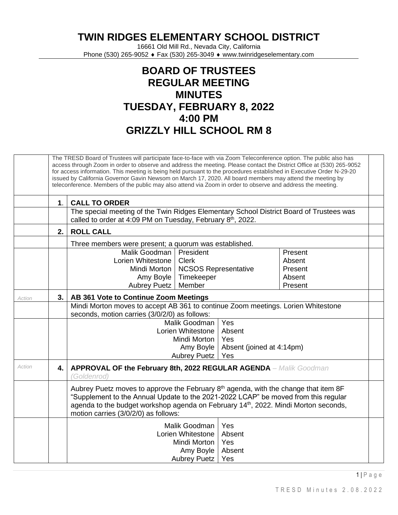**TWIN RIDGES ELEMENTARY SCHOOL DISTRICT**

16661 Old Mill Rd., Nevada City, California Phone (530) 265-9052 ♦ Fax (530) 265-3049 ♦ www.twinridgeselementary.com

## **BOARD OF TRUSTEES REGULAR MEETING MINUTES TUESDAY, FEBRUARY 8, 2022 4:00 PM GRIZZLY HILL SCHOOL RM 8**

|        |    | The TRESD Board of Trustees will participate face-to-face with via Zoom Teleconference option. The public also has<br>access through Zoom in order to observe and address the meeting. Please contact the District Office at (530) 265-9052<br>for access information. This meeting is being held pursuant to the procedures established in Executive Order N-29-20<br>issued by California Governor Gavin Newsom on March 17, 2020. All board members may attend the meeting by<br>teleconference. Members of the public may also attend via Zoom in order to observe and address the meeting. |                             |  |         |  |  |  |  |  |  |
|--------|----|-------------------------------------------------------------------------------------------------------------------------------------------------------------------------------------------------------------------------------------------------------------------------------------------------------------------------------------------------------------------------------------------------------------------------------------------------------------------------------------------------------------------------------------------------------------------------------------------------|-----------------------------|--|---------|--|--|--|--|--|--|
|        | 1. | <b>CALL TO ORDER</b>                                                                                                                                                                                                                                                                                                                                                                                                                                                                                                                                                                            |                             |  |         |  |  |  |  |  |  |
|        |    | The special meeting of the Twin Ridges Elementary School District Board of Trustees was<br>called to order at 4:09 PM on Tuesday, February 8 <sup>th</sup> , 2022.                                                                                                                                                                                                                                                                                                                                                                                                                              |                             |  |         |  |  |  |  |  |  |
|        | 2. | <b>ROLL CALL</b>                                                                                                                                                                                                                                                                                                                                                                                                                                                                                                                                                                                |                             |  |         |  |  |  |  |  |  |
|        |    | Three members were present; a quorum was established.                                                                                                                                                                                                                                                                                                                                                                                                                                                                                                                                           |                             |  |         |  |  |  |  |  |  |
|        |    | Malik Goodman   President                                                                                                                                                                                                                                                                                                                                                                                                                                                                                                                                                                       |                             |  | Present |  |  |  |  |  |  |
|        |    | Lorien Whitestone                                                                                                                                                                                                                                                                                                                                                                                                                                                                                                                                                                               | <b>Clerk</b>                |  | Absent  |  |  |  |  |  |  |
|        |    | Mindi Morton                                                                                                                                                                                                                                                                                                                                                                                                                                                                                                                                                                                    | <b>NCSOS Representative</b> |  | Present |  |  |  |  |  |  |
|        |    | Amy Boyle                                                                                                                                                                                                                                                                                                                                                                                                                                                                                                                                                                                       | Timekeeper                  |  | Absent  |  |  |  |  |  |  |
|        |    | Aubrey Puetz                                                                                                                                                                                                                                                                                                                                                                                                                                                                                                                                                                                    | Member                      |  | Present |  |  |  |  |  |  |
| Action | 3. | AB 361 Vote to Continue Zoom Meetings                                                                                                                                                                                                                                                                                                                                                                                                                                                                                                                                                           |                             |  |         |  |  |  |  |  |  |
|        |    | Mindi Morton moves to accept AB 361 to continue Zoom meetings. Lorien Whitestone<br>seconds, motion carries (3/0/2/0) as follows:<br>Yes<br>Malik Goodman<br>Absent<br>Lorien Whitestone                                                                                                                                                                                                                                                                                                                                                                                                        |                             |  |         |  |  |  |  |  |  |
|        |    |                                                                                                                                                                                                                                                                                                                                                                                                                                                                                                                                                                                                 |                             |  |         |  |  |  |  |  |  |
|        |    |                                                                                                                                                                                                                                                                                                                                                                                                                                                                                                                                                                                                 |                             |  |         |  |  |  |  |  |  |
|        |    | Mindi Morton<br>Yes                                                                                                                                                                                                                                                                                                                                                                                                                                                                                                                                                                             |                             |  |         |  |  |  |  |  |  |
|        |    | Amy Boyle   Absent (joined at 4:14pm)                                                                                                                                                                                                                                                                                                                                                                                                                                                                                                                                                           |                             |  |         |  |  |  |  |  |  |
|        |    | Aubrey Puetz<br>Yes                                                                                                                                                                                                                                                                                                                                                                                                                                                                                                                                                                             |                             |  |         |  |  |  |  |  |  |
| Action | 4. | APPROVAL OF the February 8th, 2022 REGULAR AGENDA - Malik Goodman<br>'Goldenrod)                                                                                                                                                                                                                                                                                                                                                                                                                                                                                                                |                             |  |         |  |  |  |  |  |  |
|        |    | Aubrey Puetz moves to approve the February 8 <sup>th</sup> agenda, with the change that item 8F<br>"Supplement to the Annual Update to the 2021-2022 LCAP" be moved from this regular<br>agenda to the budget workshop agenda on February 14 <sup>th</sup> , 2022. Mindi Morton seconds,<br>motion carries (3/0/2/0) as follows:<br>Malik Goodman<br>Yes<br>Absent<br>Lorien Whitestone<br>Yes<br>Mindi Morton<br>Amy Boyle<br>Absent<br><b>Aubrey Puetz</b><br>Yes                                                                                                                             |                             |  |         |  |  |  |  |  |  |
|        |    |                                                                                                                                                                                                                                                                                                                                                                                                                                                                                                                                                                                                 |                             |  |         |  |  |  |  |  |  |

 $1 \mid P$  a g e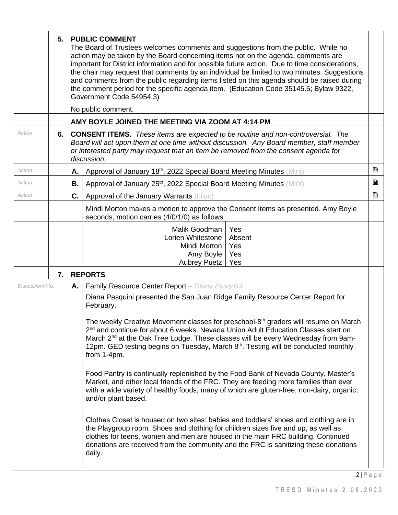|                  | 5. |    | <b>PUBLIC COMMENT</b><br>The Board of Trustees welcomes comments and suggestions from the public. While no<br>action may be taken by the Board concerning items not on the agenda, comments are<br>important for District information and for possible future action. Due to time considerations,<br>the chair may request that comments by an individual be limited to two minutes. Suggestions<br>and comments from the public regarding items listed on this agenda should be raised during<br>the comment period for the specific agenda item. (Education Code 35145.5; Bylaw 9322,<br>Government Code 54954.3)                                                                                                                                                                                                                                                                                                                                                                                                                                                                                                                                                                |   |  |  |  |  |  |  |
|------------------|----|----|------------------------------------------------------------------------------------------------------------------------------------------------------------------------------------------------------------------------------------------------------------------------------------------------------------------------------------------------------------------------------------------------------------------------------------------------------------------------------------------------------------------------------------------------------------------------------------------------------------------------------------------------------------------------------------------------------------------------------------------------------------------------------------------------------------------------------------------------------------------------------------------------------------------------------------------------------------------------------------------------------------------------------------------------------------------------------------------------------------------------------------------------------------------------------------|---|--|--|--|--|--|--|
|                  |    |    | No public comment.                                                                                                                                                                                                                                                                                                                                                                                                                                                                                                                                                                                                                                                                                                                                                                                                                                                                                                                                                                                                                                                                                                                                                                 |   |  |  |  |  |  |  |
|                  |    |    | AMY BOYLE JOINED THE MEETING VIA ZOOM AT 4:14 PM                                                                                                                                                                                                                                                                                                                                                                                                                                                                                                                                                                                                                                                                                                                                                                                                                                                                                                                                                                                                                                                                                                                                   |   |  |  |  |  |  |  |
| Action           | 6. |    | <b>CONSENT ITEMS.</b> These items are expected to be routine and non-controversial. The<br>Board will act upon them at one time without discussion. Any Board member, staff member<br>or interested party may request that an item be removed from the consent agenda for<br>discussion.                                                                                                                                                                                                                                                                                                                                                                                                                                                                                                                                                                                                                                                                                                                                                                                                                                                                                           |   |  |  |  |  |  |  |
| Action           |    | Α. | Approval of January 18th, 2022 Special Board Meeting Minutes (Mint)                                                                                                                                                                                                                                                                                                                                                                                                                                                                                                                                                                                                                                                                                                                                                                                                                                                                                                                                                                                                                                                                                                                | B |  |  |  |  |  |  |
| Action           |    | В. | Approval of January 25 <sup>th</sup> , 2022 Special Board Meeting Minutes (Mint)                                                                                                                                                                                                                                                                                                                                                                                                                                                                                                                                                                                                                                                                                                                                                                                                                                                                                                                                                                                                                                                                                                   | B |  |  |  |  |  |  |
| Action           |    | C. | Approval of the January Warrants (Lilac)                                                                                                                                                                                                                                                                                                                                                                                                                                                                                                                                                                                                                                                                                                                                                                                                                                                                                                                                                                                                                                                                                                                                           | B |  |  |  |  |  |  |
|                  |    |    | Mindi Morton makes a motion to approve the Consent Items as presented. Amy Boyle<br>seconds, motion carries (4/0/1/0) as follows:                                                                                                                                                                                                                                                                                                                                                                                                                                                                                                                                                                                                                                                                                                                                                                                                                                                                                                                                                                                                                                                  |   |  |  |  |  |  |  |
|                  |    |    | Malik Goodman<br>Yes<br>Lorien Whitestone<br>Absent<br>Mindi Morton<br>Yes<br>Yes<br>Amy Boyle<br><b>Aubrey Puetz</b><br>Yes                                                                                                                                                                                                                                                                                                                                                                                                                                                                                                                                                                                                                                                                                                                                                                                                                                                                                                                                                                                                                                                       |   |  |  |  |  |  |  |
|                  | 7. |    | <b>REPORTS</b>                                                                                                                                                                                                                                                                                                                                                                                                                                                                                                                                                                                                                                                                                                                                                                                                                                                                                                                                                                                                                                                                                                                                                                     |   |  |  |  |  |  |  |
| Discussion/Info. |    |    | Family Resource Center Report - Diana Pasquini<br>A.                                                                                                                                                                                                                                                                                                                                                                                                                                                                                                                                                                                                                                                                                                                                                                                                                                                                                                                                                                                                                                                                                                                               |   |  |  |  |  |  |  |
|                  |    |    | Diana Pasquini presented the San Juan Ridge Family Resource Center Report for<br>February.<br>The weekly Creative Movement classes for preschool-8 <sup>th</sup> graders will resume on March<br>2 <sup>nd</sup> and continue for about 6 weeks. Nevada Union Adult Education Classes start on<br>March 2 <sup>nd</sup> at the Oak Tree Lodge. These classes will be every Wednesday from 9am-<br>12pm. GED testing begins on Tuesday, March 8 <sup>th</sup> . Testing will be conducted monthly<br>from 1-4pm.<br>Food Pantry is continually replenished by the Food Bank of Nevada County, Master's<br>Market, and other local friends of the FRC. They are feeding more families than ever<br>with a wide variety of healthy foods, many of which are gluten-free, non-dairy, organic,<br>and/or plant based.<br>Clothes Closet is housed on two sites: babies and toddlers' shoes and clothing are in<br>the Playgroup room. Shoes and clothing for children sizes five and up, as well as<br>clothes for teens, women and men are housed in the main FRC building. Continued<br>donations are received from the community and the FRC is sanitizing these donations<br>daily. |   |  |  |  |  |  |  |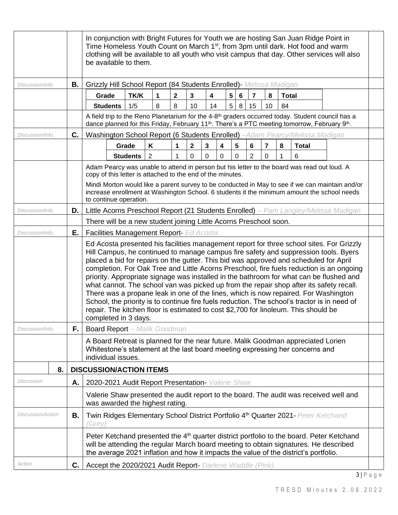|                                                                                                                                                                                                                                                                                      |    |    | In conjunction with Bright Futures for Youth we are hosting San Juan Ridge Point in<br>Time Homeless Youth Count on March 1 <sup>st</sup> , from 3pm until dark. Hot food and warm<br>clothing will be available to all youth who visit campus that day. Other services will also<br>be available to them. |                 |                 |                                                                                                                                                                                                                                                                                                                                                                                                                                                                                                                                                                                                                                                                                                                                                                                                                                          |              |              |              |   |        |                |                |              |                                                                                                                                                                                                                                       |  |                                                                                                                                                                                                |  |
|--------------------------------------------------------------------------------------------------------------------------------------------------------------------------------------------------------------------------------------------------------------------------------------|----|----|------------------------------------------------------------------------------------------------------------------------------------------------------------------------------------------------------------------------------------------------------------------------------------------------------------|-----------------|-----------------|------------------------------------------------------------------------------------------------------------------------------------------------------------------------------------------------------------------------------------------------------------------------------------------------------------------------------------------------------------------------------------------------------------------------------------------------------------------------------------------------------------------------------------------------------------------------------------------------------------------------------------------------------------------------------------------------------------------------------------------------------------------------------------------------------------------------------------------|--------------|--------------|--------------|---|--------|----------------|----------------|--------------|---------------------------------------------------------------------------------------------------------------------------------------------------------------------------------------------------------------------------------------|--|------------------------------------------------------------------------------------------------------------------------------------------------------------------------------------------------|--|
| Discussion/Info.                                                                                                                                                                                                                                                                     |    | В. | Grizzly Hill School Report (84 Students Enrolled) - Melissa Madigan                                                                                                                                                                                                                                        |                 |                 |                                                                                                                                                                                                                                                                                                                                                                                                                                                                                                                                                                                                                                                                                                                                                                                                                                          |              |              |              |   |        |                |                |              |                                                                                                                                                                                                                                       |  |                                                                                                                                                                                                |  |
|                                                                                                                                                                                                                                                                                      |    |    | Grade                                                                                                                                                                                                                                                                                                      |                 | <b>TK/K</b>     | 1                                                                                                                                                                                                                                                                                                                                                                                                                                                                                                                                                                                                                                                                                                                                                                                                                                        | $\mathbf{2}$ | 3            | 4            |   | 5<br>6 | $\overline{7}$ | 8              | <b>Total</b> |                                                                                                                                                                                                                                       |  |                                                                                                                                                                                                |  |
|                                                                                                                                                                                                                                                                                      |    |    |                                                                                                                                                                                                                                                                                                            | <b>Students</b> | 1/5             | 8                                                                                                                                                                                                                                                                                                                                                                                                                                                                                                                                                                                                                                                                                                                                                                                                                                        | 8            | 10           | 14           |   | 5<br>8 | 15             | 10             | 84           |                                                                                                                                                                                                                                       |  |                                                                                                                                                                                                |  |
|                                                                                                                                                                                                                                                                                      |    |    |                                                                                                                                                                                                                                                                                                            |                 |                 |                                                                                                                                                                                                                                                                                                                                                                                                                                                                                                                                                                                                                                                                                                                                                                                                                                          |              |              |              |   |        |                |                |              | A field trip to the Reno Planetarium for the 4-8 <sup>th</sup> graders occurred today. Student council has a<br>dance planned for this Friday, February 11 <sup>th</sup> . There's a PTC meeting tomorrow, February 9 <sup>th</sup> . |  |                                                                                                                                                                                                |  |
| Discussion/Info.                                                                                                                                                                                                                                                                     |    | C. |                                                                                                                                                                                                                                                                                                            |                 |                 |                                                                                                                                                                                                                                                                                                                                                                                                                                                                                                                                                                                                                                                                                                                                                                                                                                          |              |              |              |   |        |                |                |              | Washington School Report (6 Students Enrolled) -Adam Pearcy/Melissa Madigan                                                                                                                                                           |  |                                                                                                                                                                                                |  |
|                                                                                                                                                                                                                                                                                      |    |    |                                                                                                                                                                                                                                                                                                            |                 | Grade           | K                                                                                                                                                                                                                                                                                                                                                                                                                                                                                                                                                                                                                                                                                                                                                                                                                                        | 1            | $\mathbf{2}$ | $\mathbf{3}$ | 4 | 5      | 6              | $\overline{7}$ | 8            | <b>Total</b>                                                                                                                                                                                                                          |  |                                                                                                                                                                                                |  |
|                                                                                                                                                                                                                                                                                      |    |    |                                                                                                                                                                                                                                                                                                            |                 | <b>Students</b> | 2                                                                                                                                                                                                                                                                                                                                                                                                                                                                                                                                                                                                                                                                                                                                                                                                                                        | 1            | 0            | 0            | 0 | 0      | $\overline{2}$ | 0              |              | 6                                                                                                                                                                                                                                     |  |                                                                                                                                                                                                |  |
|                                                                                                                                                                                                                                                                                      |    |    | to continue operation.                                                                                                                                                                                                                                                                                     |                 |                 | copy of this letter is attached to the end of the minutes.                                                                                                                                                                                                                                                                                                                                                                                                                                                                                                                                                                                                                                                                                                                                                                               |              |              |              |   |        |                |                |              | Adam Pearcy was unable to attend in person but his letter to the board was read out loud. A                                                                                                                                           |  | Mindi Morton would like a parent survey to be conducted in May to see if we can maintain and/or<br>increase enrollment at Washington School. 6 students it the minimum amount the school needs |  |
| Discussion/Info.                                                                                                                                                                                                                                                                     |    | D. |                                                                                                                                                                                                                                                                                                            |                 |                 |                                                                                                                                                                                                                                                                                                                                                                                                                                                                                                                                                                                                                                                                                                                                                                                                                                          |              |              |              |   |        |                |                |              |                                                                                                                                                                                                                                       |  | Little Acorns Preschool Report (21 Students Enrolled) – Pam Langley/Melissa Madigan                                                                                                            |  |
|                                                                                                                                                                                                                                                                                      |    |    |                                                                                                                                                                                                                                                                                                            |                 |                 | There will be a new student joining Little Acorns Preschool soon.                                                                                                                                                                                                                                                                                                                                                                                                                                                                                                                                                                                                                                                                                                                                                                        |              |              |              |   |        |                |                |              |                                                                                                                                                                                                                                       |  |                                                                                                                                                                                                |  |
| Discussion/Info.                                                                                                                                                                                                                                                                     |    | Е. |                                                                                                                                                                                                                                                                                                            |                 |                 | Facilities Management Report- Ed Acosta                                                                                                                                                                                                                                                                                                                                                                                                                                                                                                                                                                                                                                                                                                                                                                                                  |              |              |              |   |        |                |                |              |                                                                                                                                                                                                                                       |  |                                                                                                                                                                                                |  |
| completed in 3 days.                                                                                                                                                                                                                                                                 |    |    |                                                                                                                                                                                                                                                                                                            |                 |                 | Ed Acosta presented his facilities management report for three school sites. For Grizzly<br>Hill Campus, he continued to manage campus fire safety and suppression tools. Byers<br>placed a bid for repairs on the gutter. This bid was approved and scheduled for April<br>completion. For Oak Tree and Little Acorns Preschool, fire fuels reduction is an ongoing<br>priority. Appropriate signage was installed in the bathroom for what can be flushed and<br>what cannot. The school van was picked up from the repair shop after its safety recall.<br>There was a propane leak in one of the lines, which is now repaired. For Washington<br>School, the priority is to continue fire fuels reduction. The school's tractor is in need of<br>repair. The kitchen floor is estimated to cost \$2,700 for linoleum. This should be |              |              |              |   |        |                |                |              |                                                                                                                                                                                                                                       |  |                                                                                                                                                                                                |  |
| Discussion/Info.                                                                                                                                                                                                                                                                     |    | F. | <b>Board Report</b> - Malik Goodman                                                                                                                                                                                                                                                                        |                 |                 |                                                                                                                                                                                                                                                                                                                                                                                                                                                                                                                                                                                                                                                                                                                                                                                                                                          |              |              |              |   |        |                |                |              |                                                                                                                                                                                                                                       |  |                                                                                                                                                                                                |  |
| A Board Retreat is planned for the near future. Malik Goodman appreciated Lorien<br>Whitestone's statement at the last board meeting expressing her concerns and<br>individual issues.                                                                                               |    |    |                                                                                                                                                                                                                                                                                                            |                 |                 |                                                                                                                                                                                                                                                                                                                                                                                                                                                                                                                                                                                                                                                                                                                                                                                                                                          |              |              |              |   |        |                |                |              |                                                                                                                                                                                                                                       |  |                                                                                                                                                                                                |  |
|                                                                                                                                                                                                                                                                                      | 8. |    | <b>DISCUSSION/ACTION ITEMS</b>                                                                                                                                                                                                                                                                             |                 |                 |                                                                                                                                                                                                                                                                                                                                                                                                                                                                                                                                                                                                                                                                                                                                                                                                                                          |              |              |              |   |        |                |                |              |                                                                                                                                                                                                                                       |  |                                                                                                                                                                                                |  |
| Discussion                                                                                                                                                                                                                                                                           |    | Α. | 2020-2021 Audit Report Presentation- Valerie Shaw                                                                                                                                                                                                                                                          |                 |                 |                                                                                                                                                                                                                                                                                                                                                                                                                                                                                                                                                                                                                                                                                                                                                                                                                                          |              |              |              |   |        |                |                |              |                                                                                                                                                                                                                                       |  |                                                                                                                                                                                                |  |
|                                                                                                                                                                                                                                                                                      |    |    | Valerie Shaw presented the audit report to the board. The audit was received well and<br>was awarded the highest rating.                                                                                                                                                                                   |                 |                 |                                                                                                                                                                                                                                                                                                                                                                                                                                                                                                                                                                                                                                                                                                                                                                                                                                          |              |              |              |   |        |                |                |              |                                                                                                                                                                                                                                       |  |                                                                                                                                                                                                |  |
| <b>Discussion/Action</b><br>В.                                                                                                                                                                                                                                                       |    |    | 'Grey)                                                                                                                                                                                                                                                                                                     |                 |                 |                                                                                                                                                                                                                                                                                                                                                                                                                                                                                                                                                                                                                                                                                                                                                                                                                                          |              |              |              |   |        |                |                |              | Twin Ridges Elementary School District Portfolio 4th Quarter 2021- Peter Ketchand                                                                                                                                                     |  |                                                                                                                                                                                                |  |
| Peter Ketchand presented the 4 <sup>th</sup> quarter district portfolio to the board. Peter Ketchand<br>will be attending the regular March board meeting to obtain signatures. He described<br>the average 2021 inflation and how it impacts the value of the district's portfolio. |    |    |                                                                                                                                                                                                                                                                                                            |                 |                 |                                                                                                                                                                                                                                                                                                                                                                                                                                                                                                                                                                                                                                                                                                                                                                                                                                          |              |              |              |   |        |                |                |              |                                                                                                                                                                                                                                       |  |                                                                                                                                                                                                |  |
| Action                                                                                                                                                                                                                                                                               |    | C. | Accept the 2020/2021 Audit Report- Darlene Waddle (Pink)                                                                                                                                                                                                                                                   |                 |                 |                                                                                                                                                                                                                                                                                                                                                                                                                                                                                                                                                                                                                                                                                                                                                                                                                                          |              |              |              |   |        |                |                |              |                                                                                                                                                                                                                                       |  |                                                                                                                                                                                                |  |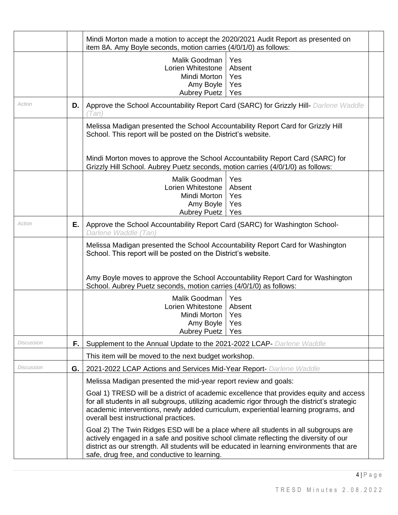|                   |    | Mindi Morton made a motion to accept the 2020/2021 Audit Report as presented on<br>item 8A. Amy Boyle seconds, motion carries (4/0/1/0) as follows:                                                                                                                                                                                                                                        |  |  |  |  |  |  |
|-------------------|----|--------------------------------------------------------------------------------------------------------------------------------------------------------------------------------------------------------------------------------------------------------------------------------------------------------------------------------------------------------------------------------------------|--|--|--|--|--|--|
|                   |    | Malik Goodman<br>Yes<br>Lorien Whitestone<br>Absent<br>Mindi Morton<br>Yes<br>Amy Boyle<br>Yes<br>Aubrey Puetz<br>Yes                                                                                                                                                                                                                                                                      |  |  |  |  |  |  |
| Action            | D. | Approve the School Accountability Report Card (SARC) for Grizzly Hill- Darlene Waddle<br>Tan                                                                                                                                                                                                                                                                                               |  |  |  |  |  |  |
|                   |    | Melissa Madigan presented the School Accountability Report Card for Grizzly Hill<br>School. This report will be posted on the District's website.<br>Mindi Morton moves to approve the School Accountability Report Card (SARC) for                                                                                                                                                        |  |  |  |  |  |  |
|                   |    | Grizzly Hill School. Aubrey Puetz seconds, motion carries (4/0/1/0) as follows:<br>Malik Goodman<br>Yes<br>Lorien Whitestone<br>Absent<br>Mindi Morton<br>Yes<br>Amy Boyle<br>Yes<br>Aubrey Puetz<br>Yes                                                                                                                                                                                   |  |  |  |  |  |  |
| Action            | Ε. | Approve the School Accountability Report Card (SARC) for Washington School-<br>Darlene Waddle (Tan)                                                                                                                                                                                                                                                                                        |  |  |  |  |  |  |
|                   |    | Melissa Madigan presented the School Accountability Report Card for Washington<br>School. This report will be posted on the District's website.<br>Amy Boyle moves to approve the School Accountability Report Card for Washington<br>School. Aubrey Puetz seconds, motion carries (4/0/1/0) as follows:                                                                                   |  |  |  |  |  |  |
|                   |    | Malik Goodman<br>Yes<br>Lorien Whitestone<br>Absent<br>Mindi Morton  <br>Yes<br>Amy Boyle<br>Yes<br>Aubrey Puetz<br>Yes                                                                                                                                                                                                                                                                    |  |  |  |  |  |  |
| Discussion        | F. | Supplement to the Annual Update to the 2021-2022 LCAP- Darlene Waddle                                                                                                                                                                                                                                                                                                                      |  |  |  |  |  |  |
|                   |    | This item will be moved to the next budget workshop.                                                                                                                                                                                                                                                                                                                                       |  |  |  |  |  |  |
| <b>Discussion</b> | G. | 2021-2022 LCAP Actions and Services Mid-Year Report- Darlene Waddle                                                                                                                                                                                                                                                                                                                        |  |  |  |  |  |  |
|                   |    | Melissa Madigan presented the mid-year report review and goals:<br>Goal 1) TRESD will be a district of academic excellence that provides equity and access<br>for all students in all subgroups, utilizing academic rigor through the district's strategic<br>academic interventions, newly added curriculum, experiential learning programs, and<br>overall best instructional practices. |  |  |  |  |  |  |
|                   |    | Goal 2) The Twin Ridges ESD will be a place where all students in all subgroups are<br>actively engaged in a safe and positive school climate reflecting the diversity of our<br>district as our strength. All students will be educated in learning environments that are<br>safe, drug free, and conductive to learning.                                                                 |  |  |  |  |  |  |

4 | P a g e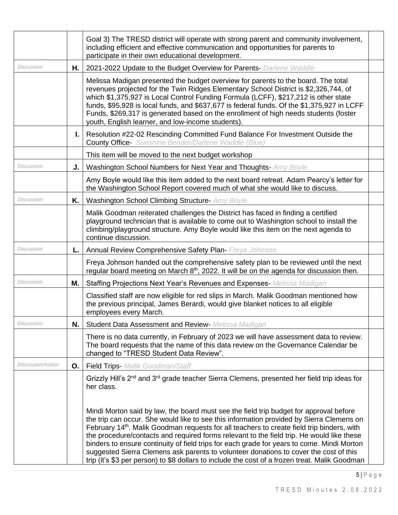|                   |    | Goal 3) The TRESD district will operate with strong parent and community involvement,<br>including efficient and effective communication and opportunities for parents to<br>participate in their own educational development.                                                                                                                                                                                                                                                                                                                                                                                                                                                     |  |
|-------------------|----|------------------------------------------------------------------------------------------------------------------------------------------------------------------------------------------------------------------------------------------------------------------------------------------------------------------------------------------------------------------------------------------------------------------------------------------------------------------------------------------------------------------------------------------------------------------------------------------------------------------------------------------------------------------------------------|--|
| Discussion        | Η. | 2021-2022 Update to the Budget Overview for Parents- Darlene Waddle                                                                                                                                                                                                                                                                                                                                                                                                                                                                                                                                                                                                                |  |
|                   |    | Melissa Madigan presented the budget overview for parents to the board. The total<br>revenues projected for the Twin Ridges Elementary School District is \$2,326,744, of<br>which \$1,375,927 is Local Control Funding Formula (LCFF), \$217,212 is other state<br>funds, \$95,928 is local funds, and \$637,677 is federal funds. Of the \$1,375,927 in LCFF<br>Funds, \$269,317 is generated based on the enrollment of high needs students (foster<br>youth, English learner, and low-income students).                                                                                                                                                                        |  |
|                   | Ъ. | Resolution #22-02 Rescinding Committed Fund Balance For Investment Outside the<br><b>County Office-</b> Sunshine Bender/Darlene Waddle (Blue)                                                                                                                                                                                                                                                                                                                                                                                                                                                                                                                                      |  |
|                   |    | This item will be moved to the next budget workshop                                                                                                                                                                                                                                                                                                                                                                                                                                                                                                                                                                                                                                |  |
| <b>Discussion</b> | J. | Washington School Numbers for Next Year and Thoughts- Amy Boyle                                                                                                                                                                                                                                                                                                                                                                                                                                                                                                                                                                                                                    |  |
|                   |    | Amy Boyle would like this item added to the next board retreat. Adam Pearcy's letter for<br>the Washington School Report covered much of what she would like to discuss.                                                                                                                                                                                                                                                                                                                                                                                                                                                                                                           |  |
| Discussion        | Κ. | Washington School Climbing Structure- Amy Boyle                                                                                                                                                                                                                                                                                                                                                                                                                                                                                                                                                                                                                                    |  |
|                   |    | Malik Goodman reiterated challenges the District has faced in finding a certified<br>playground technician that is available to come out to Washington school to install the<br>climbing/playground structure. Amy Boyle would like this item on the next agenda to<br>continue discussion.                                                                                                                                                                                                                                                                                                                                                                                        |  |
| Discussion        | L. | Annual Review Comprehensive Safety Plan- Freya Johnson                                                                                                                                                                                                                                                                                                                                                                                                                                                                                                                                                                                                                             |  |
|                   |    | Freya Johnson handed out the comprehensive safety plan to be reviewed until the next<br>regular board meeting on March 8 <sup>th</sup> , 2022. It will be on the agenda for discussion then.                                                                                                                                                                                                                                                                                                                                                                                                                                                                                       |  |
| <b>Discussion</b> | Μ. | Staffing Projections Next Year's Revenues and Expenses- Melissa Madigan                                                                                                                                                                                                                                                                                                                                                                                                                                                                                                                                                                                                            |  |
|                   |    | Classified staff are now eligible for red slips in March. Malik Goodman mentioned how<br>the previous principal, James Berardi, would give blanket notices to all eligible<br>employees every March.                                                                                                                                                                                                                                                                                                                                                                                                                                                                               |  |
| Discussion        | N. | Student Data Assessment and Review- Melissa Madigan                                                                                                                                                                                                                                                                                                                                                                                                                                                                                                                                                                                                                                |  |
|                   |    | There is no data currently, in February of 2023 we will have assessment data to review.<br>The board requests that the name of this data review on the Governance Calendar be<br>changed to "TRESD Student Data Review".                                                                                                                                                                                                                                                                                                                                                                                                                                                           |  |
| Discussion/Action | О. | Field Trips- Malik Goodman/Staff                                                                                                                                                                                                                                                                                                                                                                                                                                                                                                                                                                                                                                                   |  |
|                   |    | Grizzly Hill's 2 <sup>nd</sup> and 3 <sup>rd</sup> grade teacher Sierra Clemens, presented her field trip ideas for<br>her class.                                                                                                                                                                                                                                                                                                                                                                                                                                                                                                                                                  |  |
|                   |    | Mindi Morton said by law, the board must see the field trip budget for approval before<br>the trip can occur. She would like to see this information provided by Sierra Clemens on<br>February 14 <sup>th</sup> . Malik Goodman requests for all teachers to create field trip binders, with<br>the procedure/contacts and required forms relevant to the field trip. He would like these<br>binders to ensure continuity of field trips for each grade for years to come. Mindi Morton<br>suggested Sierra Clemens ask parents to volunteer donations to cover the cost of this<br>trip (it's \$3 per person) to \$8 dollars to include the cost of a frozen treat. Malik Goodman |  |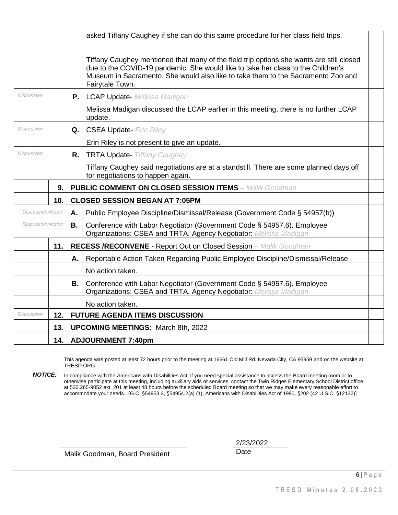|                          |     |                                                                                                 | asked Tiffany Caughey if she can do this same procedure for her class field trips.                                                                                                                                                                                                  |  |  |  |  |  |  |  |
|--------------------------|-----|-------------------------------------------------------------------------------------------------|-------------------------------------------------------------------------------------------------------------------------------------------------------------------------------------------------------------------------------------------------------------------------------------|--|--|--|--|--|--|--|
|                          |     |                                                                                                 | Tiffany Caughey mentioned that many of the field trip options she wants are still closed<br>due to the COVID-19 pandemic. She would like to take her class to the Children's<br>Museum in Sacramento. She would also like to take them to the Sacramento Zoo and<br>Fairytale Town. |  |  |  |  |  |  |  |
| <b>Discussion</b>        |     | <b>P.</b>                                                                                       | <b>LCAP Update-</b> Melissa Madigan                                                                                                                                                                                                                                                 |  |  |  |  |  |  |  |
|                          |     | Melissa Madigan discussed the LCAP earlier in this meeting, there is no further LCAP<br>update. |                                                                                                                                                                                                                                                                                     |  |  |  |  |  |  |  |
| Discussion               |     | Q.                                                                                              | <b>CSEA Update-</b> Erin Riley                                                                                                                                                                                                                                                      |  |  |  |  |  |  |  |
|                          |     |                                                                                                 | Erin Riley is not present to give an update.                                                                                                                                                                                                                                        |  |  |  |  |  |  |  |
| Discussion               |     | R.                                                                                              | <b>TRTA Update-</b> Tiffany Caughey                                                                                                                                                                                                                                                 |  |  |  |  |  |  |  |
|                          |     |                                                                                                 | Tiffany Caughey said negotiations are at a standstill. There are some planned days off<br>for negotiations to happen again.                                                                                                                                                         |  |  |  |  |  |  |  |
|                          | 9.  |                                                                                                 | <b>PUBLIC COMMENT ON CLOSED SESSION ITEMS - Malik Goodman</b>                                                                                                                                                                                                                       |  |  |  |  |  |  |  |
|                          | 10. |                                                                                                 | <b>CLOSED SESSION BEGAN AT 7:05PM</b>                                                                                                                                                                                                                                               |  |  |  |  |  |  |  |
| <b>Discussion/Action</b> |     | А.                                                                                              | Public Employee Discipline/Dismissal/Release (Government Code § 54957(b))                                                                                                                                                                                                           |  |  |  |  |  |  |  |
| <b>Discussion/Action</b> |     | <b>B.</b>                                                                                       | Conference with Labor Negotiator (Government Code § 54957.6). Employee<br>Organizations: CSEA and TRTA. Agency Negotiator: Melissa Madigan                                                                                                                                          |  |  |  |  |  |  |  |
|                          | 11. |                                                                                                 | <b>RECESS /RECONVENE - Report Out on Closed Session</b> - Malik Goodman                                                                                                                                                                                                             |  |  |  |  |  |  |  |
|                          |     | А.                                                                                              | Reportable Action Taken Regarding Public Employee Discipline/Dismissal/Release                                                                                                                                                                                                      |  |  |  |  |  |  |  |
|                          |     |                                                                                                 | No action taken.                                                                                                                                                                                                                                                                    |  |  |  |  |  |  |  |
|                          |     | В.                                                                                              | Conference with Labor Negotiator (Government Code § 54957.6). Employee<br>Organizations: CSEA and TRTA. Agency Negotiator: Melissa Madigan                                                                                                                                          |  |  |  |  |  |  |  |
|                          |     |                                                                                                 | No action taken.                                                                                                                                                                                                                                                                    |  |  |  |  |  |  |  |
| Discussion               | 12. |                                                                                                 | <b>FUTURE AGENDA ITEMS DISCUSSION</b>                                                                                                                                                                                                                                               |  |  |  |  |  |  |  |
|                          | 13. |                                                                                                 | <b>UPCOMING MEETINGS: March 8th, 2022</b>                                                                                                                                                                                                                                           |  |  |  |  |  |  |  |
|                          | 14. |                                                                                                 | <b>ADJOURNMENT 7:40pm</b>                                                                                                                                                                                                                                                           |  |  |  |  |  |  |  |

This agenda was posted at least 72 hours prior to the meeting at 16661 Old Mill Rd. Nevada City, CA 95959 and on the website at TRESD.ORG

*NOTICE:* In compliance with the Americans with Disabilities Act, if you need special assistance to access the Board meeting room or to otherwise participate at this meeting, including auxiliary aids or services, contact the Twin Ridges Elementary School District office at 530.265-9052 ext. 201 at least 48 hours before the scheduled Board meeting so that we may make every reasonable effort to accommodate your needs. {G.C. §54953.2, §54954.2(a) (1); Americans with Disabilities Act of 1990, §202 (42 U.S.C. §12132)]

Malik Goodman, Board President Date

2/23/2022